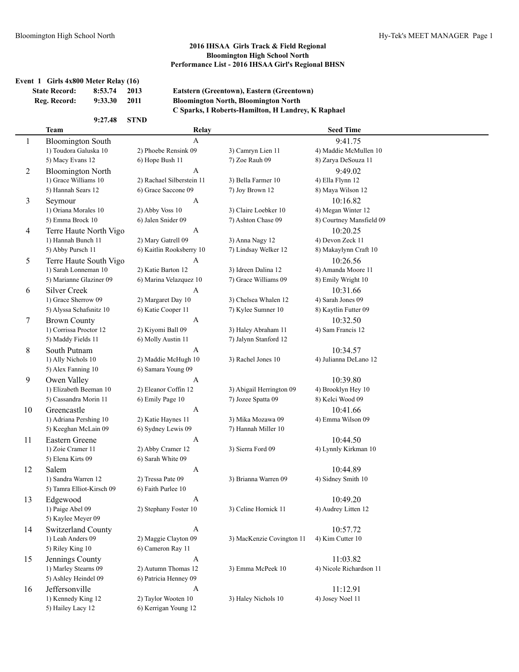## **Event 1 Girls 4x800 Meter Relay (16) Reg. Record: 9:33.30 2011**

**State Record:** 8:53.74 2013 **Eatstern (Greentown), Eastern (Greentown)**<br>Reg. Record: 9:33.30 2011 **Bloomington North, Bloomington North** 

| 9:27.48 | <b>STND</b> |
|---------|-------------|
|         |             |

| <b>Bloomington North, Bloomington North</b>        |
|----------------------------------------------------|
| C Sparks, I Roberts-Hamilton, H Landrey, K Raphael |

|                | <b>Team</b>                         | Relay                     |                           | <b>Seed Time</b>                 |
|----------------|-------------------------------------|---------------------------|---------------------------|----------------------------------|
| 1              | <b>Bloomington South</b>            | A                         |                           | 9:41.75                          |
|                | 1) Toudora Galuska 10               | 2) Phoebe Rensink 09      | 3) Camryn Lien 11         | 4) Maddie McMullen 10            |
|                | 5) Macy Evans 12                    | 6) Hope Bush 11           | 7) Zoe Rauh 09            | 8) Zarya DeSouza 11              |
| 2              | <b>Bloomington North</b>            | A                         |                           | 9:49.02                          |
|                | 1) Grace Williams 10                | 2) Rachael Silberstein 11 | 3) Bella Farmer 10        | 4) Ella Flynn 12                 |
|                | 5) Hannah Sears 12                  | 6) Grace Saccone 09       | 7) Joy Brown 12           | 8) Maya Wilson 12                |
| 3              | Seymour                             | A                         |                           | 10:16.82                         |
|                | 1) Oriana Morales 10                | 2) Abby Voss 10           | 3) Claire Loebker 10      | 4) Megan Winter 12               |
|                | 5) Emma Brock 10                    | 6) Jalen Snider 09        | 7) Ashton Chase 09        | 8) Courtney Mansfield 09         |
| $\overline{4}$ | Terre Haute North Vigo              | A                         |                           | 10:20.25                         |
|                | 1) Hannah Bunch 11                  | 2) Mary Gatrell 09        | 3) Anna Nagy 12           | 4) Devon Zeck 11                 |
|                | 5) Abby Pursch 11                   | 6) Kaitlin Rooksberry 10  | 7) Lindsay Welker 12      | 8) Makaylynn Craft 10            |
| 5              | Terre Haute South Vigo              | A                         |                           | 10:26.56                         |
|                | 1) Sarah Lonneman 10                | 2) Katie Barton 12        | 3) Idreen Dalina 12       | 4) Amanda Moore 11               |
|                | 5) Marianne Glaziner 09             | 6) Marina Velazquez 10    | 7) Grace Williams 09      | 8) Emily Wright 10               |
| 6              | <b>Silver Creek</b>                 | A                         |                           | 10:31.66                         |
|                | 1) Grace Sherrow 09                 | 2) Margaret Day 10        | 3) Chelsea Whalen 12      | 4) Sarah Jones 09                |
|                | 5) Alyssa Schafsnitz 10             | 6) Katie Cooper 11        | 7) Kylee Sumner 10        | 8) Kaytlin Futter 09             |
| 7              | <b>Brown County</b>                 | A                         |                           | 10:32.50                         |
|                | 1) Corrissa Proctor 12              | 2) Kiyomi Ball 09         | 3) Haley Abraham 11       | 4) Sam Francis 12                |
|                | 5) Maddy Fields 11                  | 6) Molly Austin 11        | 7) Jalynn Stanford 12     |                                  |
| 8              | South Putnam                        | A                         |                           | 10:34.57                         |
|                | 1) Ally Nichols 10                  | 2) Maddie McHugh 10       | 3) Rachel Jones 10        | 4) Julianna DeLano 12            |
|                | 5) Alex Fanning 10                  | 6) Samara Young 09        |                           |                                  |
| 9              | Owen Valley                         | A                         |                           | 10:39.80                         |
|                | 1) Elizabeth Beeman 10              | 2) Eleanor Coffin 12      | 3) Abigail Herrington 09  | 4) Brooklyn Hey 10               |
|                | 5) Cassandra Morin 11               | 6) Emily Page 10          | 7) Jozee Spatta 09        | 8) Kelci Wood 09                 |
| 10             | Greencastle                         | $\mathbf{A}$              |                           | 10:41.66                         |
|                | 1) Adriana Pershing 10              | 2) Katie Haynes 11        | 3) Mika Mozawa 09         | 4) Emma Wilson 09                |
|                | 5) Keeghan McLain 09                | 6) Sydney Lewis 09        | 7) Hannah Miller 10       |                                  |
| 11             | Eastern Greene<br>1) Zoie Cramer 11 | A<br>2) Abby Cramer 12    | 3) Sierra Ford 09         | 10:44.50<br>4) Lynnly Kirkman 10 |
|                | 5) Elena Kirts 09                   | 6) Sarah White 09         |                           |                                  |
| 12             | Salem                               | A                         |                           | 10:44.89                         |
|                | 1) Sandra Warren 12                 | 2) Tressa Pate 09         | 3) Brianna Warren 09      | 4) Sidney Smith 10               |
|                | 5) Tamra Elliot-Kirsch 09           | 6) Faith Purlee 10        |                           |                                  |
| 13             | Edgewood                            | A                         |                           | 10:49.20                         |
|                | 1) Paige Abel 09                    | 2) Stephany Foster 10     | 3) Celine Hornick 11      | 4) Audrey Litten 12              |
|                | 5) Kaylee Meyer 09                  |                           |                           |                                  |
| 14             | Switzerland County                  | $\mathbf{A}$              |                           | 10:57.72                         |
|                | 1) Leah Anders 09                   | 2) Maggie Clayton 09      | 3) MacKenzie Covington 11 | 4) Kim Cutter 10                 |
|                | 5) Riley King 10                    | 6) Cameron Ray 11         |                           |                                  |
| 15             | Jennings County                     | $\boldsymbol{\mathsf{A}}$ |                           | 11:03.82                         |
|                | 1) Marley Stearns 09                | 2) Autumn Thomas 12       | 3) Emma McPeek 10         | 4) Nicole Richardson 11          |
|                | 5) Ashley Heindel 09                | 6) Patricia Henney 09     |                           |                                  |
| 16             | Jeffersonville                      | A                         |                           | 11:12.91                         |
|                | 1) Kennedy King 12                  | 2) Taylor Wooten 10       | 3) Haley Nichols 10       | 4) Josey Noel 11                 |
|                | 5) Hailey Lacy 12                   | 6) Kerrigan Young 12      |                           |                                  |
|                |                                     |                           |                           |                                  |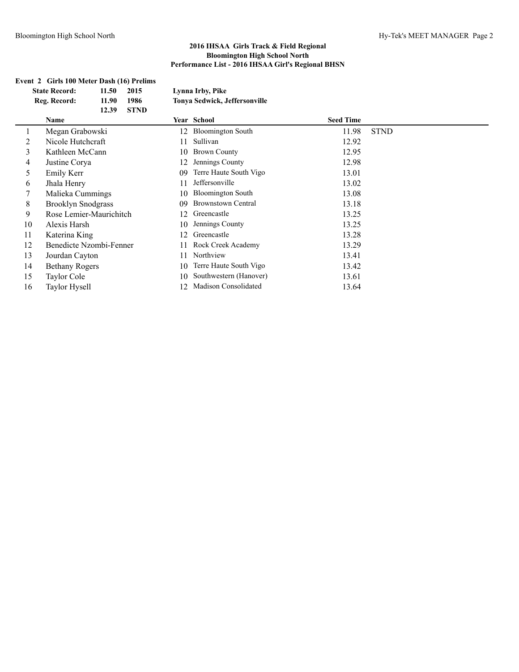#### **Event 2 Girls 100 Meter Dash (16) Prelims**

|    | <b>State Record:</b>      | 11.50 | 2015        |    | Lynna Irby, Pike              |                  |             |
|----|---------------------------|-------|-------------|----|-------------------------------|------------------|-------------|
|    | Reg. Record:              | 11.90 | 1986        |    | Tonya Sedwick, Jeffersonville |                  |             |
|    |                           | 12.39 | <b>STND</b> |    |                               |                  |             |
|    | Name                      |       |             |    | Year School                   | <b>Seed Time</b> |             |
| 1  | Megan Grabowski           |       |             |    | 12 Bloomington South          | 11.98            | <b>STND</b> |
| 2  | Nicole Hutchcraft         |       |             | 11 | Sullivan                      | 12.92            |             |
| 3  | Kathleen McCann           |       |             | 10 | <b>Brown County</b>           | 12.95            |             |
| 4  | Justine Corya             |       |             | 12 | Jennings County               | 12.98            |             |
| 5  | Emily Kerr                |       |             | 09 | Terre Haute South Vigo        | 13.01            |             |
| 6  | Jhala Henry               |       |             | 11 | Jeffersonville                | 13.02            |             |
| 7  | Malieka Cummings          |       |             | 10 | <b>Bloomington South</b>      | 13.08            |             |
| 8  | <b>Brooklyn Snodgrass</b> |       |             | 09 | <b>Brownstown Central</b>     | 13.18            |             |
| 9  | Rose Lemier-Maurichitch   |       |             | 12 | Greencastle                   | 13.25            |             |
| 10 | Alexis Harsh              |       |             | 10 | Jennings County               | 13.25            |             |
| 11 | Katerina King             |       |             | 12 | Greencastle                   | 13.28            |             |
| 12 | Benedicte Nzombi-Fenner   |       |             | 11 | Rock Creek Academy            | 13.29            |             |
| 13 | Jourdan Cayton            |       |             | 11 | Northview                     | 13.41            |             |
| 14 | <b>Bethany Rogers</b>     |       |             | 10 | Terre Haute South Vigo        | 13.42            |             |
| 15 | Taylor Cole               |       |             | 10 | Southwestern (Hanover)        | 13.61            |             |
| 16 | Taylor Hysell             |       |             | 12 | <b>Madison Consolidated</b>   | 13.64            |             |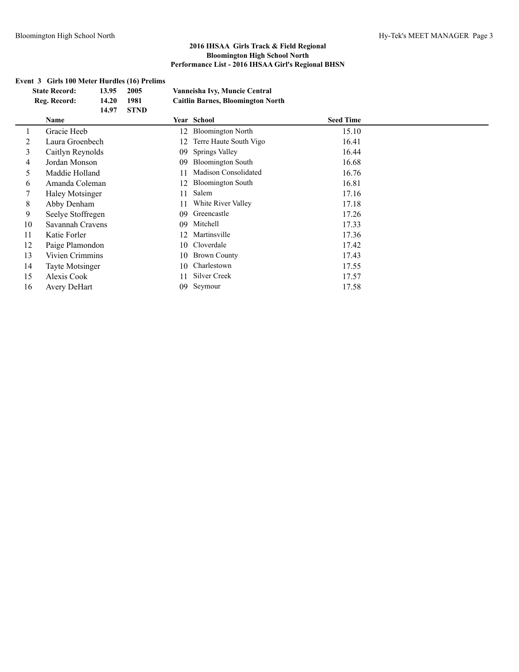#### **Event 3 Girls 100 Meter Hurdles (16) Prelims**

| <b>State Record:</b><br>13.95<br>2005 |                        |       |             |    | Vanneisha Ivy, Muncie Central            |                  |  |
|---------------------------------------|------------------------|-------|-------------|----|------------------------------------------|------------------|--|
|                                       | Reg. Record:           | 14.20 | 1981        |    | <b>Caitlin Barnes, Bloomington North</b> |                  |  |
|                                       |                        | 14.97 | <b>STND</b> |    |                                          |                  |  |
|                                       | Name                   |       |             |    | Year School                              | <b>Seed Time</b> |  |
| $\perp$                               | Gracie Heeb            |       |             | 12 | <b>Bloomington North</b>                 | 15.10            |  |
| 2                                     | Laura Groenbech        |       |             | 12 | Terre Haute South Vigo                   | 16.41            |  |
| 3                                     | Caitlyn Reynolds       |       |             | 09 | Springs Valley                           | 16.44            |  |
| 4                                     | Jordan Monson          |       |             | 09 | <b>Bloomington South</b>                 | 16.68            |  |
| 5                                     | Maddie Holland         |       |             | 11 | <b>Madison Consolidated</b>              | 16.76            |  |
| 6                                     | Amanda Coleman         |       |             | 12 | <b>Bloomington South</b>                 | 16.81            |  |
|                                       | <b>Haley Motsinger</b> |       |             | 11 | Salem                                    | 17.16            |  |
| 8                                     | Abby Denham            |       |             | 11 | White River Valley                       | 17.18            |  |
| 9                                     | Seelye Stoffregen      |       |             | 09 | Greencastle                              | 17.26            |  |
| 10                                    | Savannah Cravens       |       |             | 09 | Mitchell                                 | 17.33            |  |
| 11                                    | Katie Forler           |       |             | 12 | Martinsville                             | 17.36            |  |
| 12                                    | Paige Plamondon        |       |             | 10 | Cloverdale                               | 17.42            |  |
| 13                                    | Vivien Crimmins        |       |             | 10 | <b>Brown County</b>                      | 17.43            |  |
| 14                                    | <b>Tayte Motsinger</b> |       |             | 10 | Charlestown                              | 17.55            |  |
| 15                                    | Alexis Cook            |       |             | 11 | Silver Creek                             | 17.57            |  |
| 16                                    | Avery DeHart           |       |             | 09 | Seymour                                  | 17.58            |  |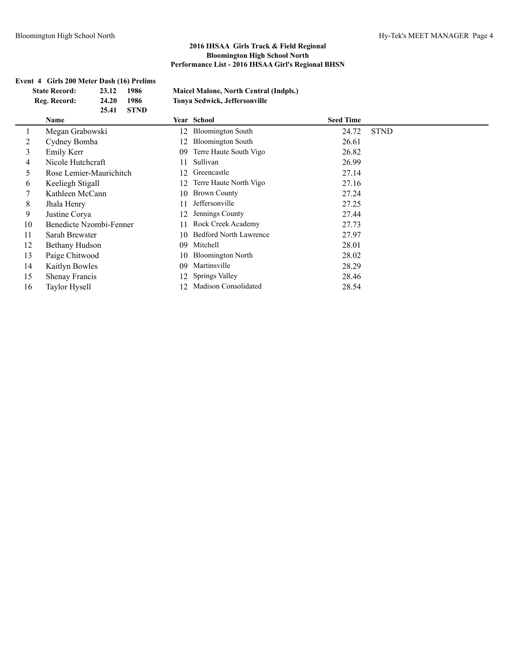|    | Event 4 Girls 200 Meter Dash (16) Prelims<br><b>State Record:</b><br>Reg. Record: | 23.12<br>24.20<br>25.41 | 1986<br>1986<br><b>STND</b> |    | <b>Maicel Malone, North Central (Indpls.)</b><br>Tonya Sedwick, Jeffersonville |                  |             |
|----|-----------------------------------------------------------------------------------|-------------------------|-----------------------------|----|--------------------------------------------------------------------------------|------------------|-------------|
|    | Name                                                                              |                         |                             |    | Year School                                                                    | <b>Seed Time</b> |             |
|    | Megan Grabowski                                                                   |                         |                             | 12 | <b>Bloomington South</b>                                                       | 24.72            | <b>STND</b> |
| 2  | Cydney Bomba                                                                      |                         |                             | 12 | <b>Bloomington South</b>                                                       | 26.61            |             |
| 3  | Emily Kerr                                                                        |                         |                             | 09 | Terre Haute South Vigo                                                         | 26.82            |             |
| 4  | Nicole Hutchcraft                                                                 |                         |                             | 11 | Sullivan                                                                       | 26.99            |             |
| 5  | Rose Lemier-Maurichitch                                                           |                         |                             | 12 | Greencastle                                                                    | 27.14            |             |
| 6  | Keeliegh Stigall                                                                  |                         |                             | 12 | Terre Haute North Vigo                                                         | 27.16            |             |
|    | Kathleen McCann                                                                   |                         |                             | 10 | <b>Brown County</b>                                                            | 27.24            |             |
| 8  | Jhala Henry                                                                       |                         |                             | 11 | Jeffersonville                                                                 | 27.25            |             |
| 9  | Justine Corya                                                                     |                         |                             | 12 | Jennings County                                                                | 27.44            |             |
| 10 | Benedicte Nzombi-Fenner                                                           |                         |                             | 11 | Rock Creek Academy                                                             | 27.73            |             |
| 11 | Sarah Brewster                                                                    |                         |                             | 10 | <b>Bedford North Lawrence</b>                                                  | 27.97            |             |
| 12 | Bethany Hudson                                                                    |                         |                             | 09 | Mitchell                                                                       | 28.01            |             |
| 13 | Paige Chitwood                                                                    |                         |                             | 10 | <b>Bloomington North</b>                                                       | 28.02            |             |
| 14 | Kaitlyn Bowles                                                                    |                         |                             | 09 | Martinsville                                                                   | 28.29            |             |
| 15 | Shenay Francis                                                                    |                         |                             | 12 | Springs Valley                                                                 | 28.46            |             |
| 16 | Taylor Hysell                                                                     |                         |                             | 12 | Madison Consolidated                                                           | 28.54            |             |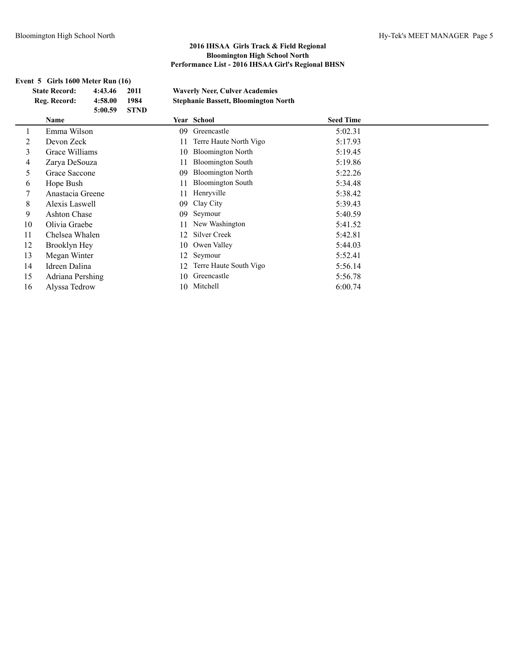#### **Event 5 Girls 1600 Meter Run (16) State Record: 4:43.46 2011 Waverly Neer, Culver Academies Reg. Record: 4:58.00 1984 Stephanie Bassett, Bloomington North 5:00.59 STND Name Year School Seed Time** 1 Emma Wilson 09 Greencastle 5:02.31 2 Devon Zeck 11 Terre Haute North Vigo 5:17.93 3 Grace Williams 10 Bloomington North 5:19.45 4 Zarya DeSouza 11 Bloomington South 5:19.86 5 Grace Saccone 09 Bloomington North 5:22.26 6 Hope Bush 11 Bloomington South 5:34.48 7 Anastacia Greene 11 Henryville 5:38.42 8 Alexis Laswell 09 Clay City 5:39.43 9 Ashton Chase 09 Seymour 5:40.59 10 Olivia Graebe 11 New Washington 5:41.52 11 Chelsea Whalen 12 Silver Creek 5:42.81 12 Brooklyn Hey 10 Owen Valley 5:44.03 13 Megan Winter 12 Seymour 5:52.41 14 Idreen Dalina 12 Terre Haute South Vigo 5:56.14 15 Adriana Pershing 10 Greencastle 5:56.78 16 Alyssa Tedrow 10 Mitchell 6:00.74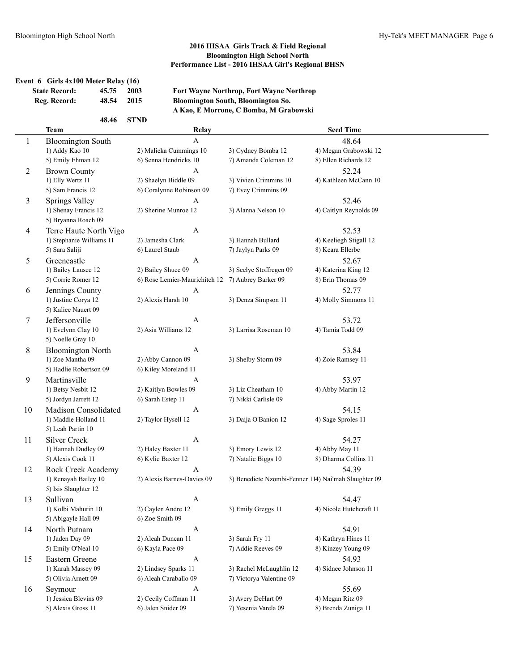### **Event 6 Girls 4x100 Meter Relay (16)**

| <b>State Record:</b> | 45.75 2003 |      |
|----------------------|------------|------|
| Reg. Record:         | 48.54      | 2015 |

**State Record: 45.75 2003 Fort Wayne Northrop, Fort Wayne Northrop Reg. Record: 48.54 2015 Bloomington South, Bloomington So. A Kao, E Morrone, C Bomba, M Grabowski**

|    | 48.46                    | <b>STND</b>                   |                                                      |                         |  |
|----|--------------------------|-------------------------------|------------------------------------------------------|-------------------------|--|
|    | <b>Team</b>              | Relay                         |                                                      | <b>Seed Time</b>        |  |
| 1  | <b>Bloomington South</b> | $\mathsf{A}$                  |                                                      | 48.64                   |  |
|    | 1) Addy Kao 10           | 2) Malieka Cummings 10        | 3) Cydney Bomba 12                                   | 4) Megan Grabowski 12   |  |
|    | 5) Emily Ehman 12        | 6) Senna Hendricks 10         | 7) Amanda Coleman 12                                 | 8) Ellen Richards 12    |  |
| 2  | <b>Brown County</b>      | A                             |                                                      | 52.24                   |  |
|    | 1) Elly Wertz 11         | 2) Shaelyn Biddle 09          | 3) Vivien Crimmins 10                                | 4) Kathleen McCann 10   |  |
|    | 5) Sam Francis 12        | 6) Coralynne Robinson 09      | 7) Evey Crimmins 09                                  |                         |  |
| 3  | Springs Valley           | A                             |                                                      | 52.46                   |  |
|    | 1) Shenay Francis 12     | 2) Sherine Munroe 12          | 3) Alanna Nelson 10                                  | 4) Caitlyn Reynolds 09  |  |
|    | 5) Bryanna Roach 09      |                               |                                                      |                         |  |
| 4  | Terre Haute North Vigo   | $\mathbf{A}$                  |                                                      | 52.53                   |  |
|    | 1) Stephanie Williams 11 | 2) Jamesha Clark              | 3) Hannah Bullard                                    | 4) Keeliegh Stigall 12  |  |
|    | 5) Sara Saliji           | 6) Laurel Staub               | 7) Jaylyn Parks 09                                   | 8) Keara Ellerbe        |  |
| 5  | Greencastle              | A                             |                                                      | 52.67                   |  |
|    | 1) Bailey Lausee 12      | 2) Bailey Shuee 09            | 3) Seelye Stoffregen 09                              | 4) Katerina King 12     |  |
|    | 5) Corrie Romer 12       | 6) Rose Lemier-Maurichitch 12 | 7) Aubrey Barker 09                                  | 8) Erin Thomas 09       |  |
| 6  | Jennings County          | A                             |                                                      | 52.77                   |  |
|    | 1) Justine Corya 12      | 2) Alexis Harsh 10            | 3) Denza Simpson 11                                  | 4) Molly Simmons 11     |  |
|    | 5) Kaliee Nauert 09      |                               |                                                      |                         |  |
| 7  | Jeffersonville           | A                             |                                                      | 53.72                   |  |
|    | 1) Evelynn Clay 10       | 2) Asia Williams 12           | 3) Larrisa Roseman 10                                | 4) Tamia Todd 09        |  |
|    | 5) Noelle Gray 10        |                               |                                                      |                         |  |
| 8  | <b>Bloomington North</b> | A                             |                                                      | 53.84                   |  |
|    | 1) Zoe Mantha 09         | 2) Abby Cannon 09             | 3) Shelby Storm 09                                   | 4) Zoie Ramsey 11       |  |
|    | 5) Hadlie Robertson 09   | 6) Kiley Moreland 11          |                                                      |                         |  |
| 9  | Martinsville             | A                             |                                                      | 53.97                   |  |
|    | 1) Betsy Nesbit 12       | 2) Kaitlyn Bowles 09          | 3) Liz Cheatham 10                                   | 4) Abby Martin 12       |  |
|    | 5) Jordyn Jarrett 12     | 6) Sarah Estep 11             | 7) Nikki Carlisle 09                                 |                         |  |
| 10 | Madison Consolidated     | $\mathbf{A}$                  |                                                      | 54.15                   |  |
|    | 1) Maddie Holland 11     | 2) Taylor Hysell 12           | 3) Daija O'Banion 12                                 | 4) Sage Sproles 11      |  |
|    | 5) Leah Partin 10        |                               |                                                      |                         |  |
| 11 | <b>Silver Creek</b>      | A                             |                                                      | 54.27                   |  |
|    | 1) Hannah Dudley 09      | 2) Haley Baxter 11            | 3) Emory Lewis 12                                    | 4) Abby May 11          |  |
|    | 5) Alexis Cook 11        | 6) Kylie Baxter 12            | 7) Natalie Biggs 10                                  | 8) Dharma Collins 11    |  |
| 12 | Rock Creek Academy       | A                             |                                                      | 54.39                   |  |
|    | 1) Renayah Bailey 10     | 2) Alexis Barnes-Davies 09    | 3) Benedicte Nzombi-Fenner 114) Nai'mah Slaughter 09 |                         |  |
|    | 5) Isis Slaughter 12     |                               |                                                      |                         |  |
| 13 | Sullivan                 | A                             |                                                      | 54.47                   |  |
|    | 1) Kolbi Mahurin 10      | 2) Caylen Andre 12            | 3) Emily Greggs 11                                   | 4) Nicole Hutchcraft 11 |  |
|    | 5) Abigayle Hall 09      | 6) Zoe Smith 09               |                                                      |                         |  |
| 14 | North Putnam             | $\mathbf{A}$                  |                                                      | 54.91                   |  |
|    | 1) Jaden Day 09          | 2) Aleah Duncan 11            | 3) Sarah Fry 11                                      | 4) Kathryn Hines 11     |  |
|    | 5) Emily O'Neal 10       | 6) Kayla Pace 09              | 7) Addie Reeves 09                                   | 8) Kinzey Young 09      |  |
| 15 | Eastern Greene           | $\mathbf{A}$                  |                                                      | 54.93                   |  |
|    | 1) Karah Massey 09       | 2) Lindsey Sparks 11          | 3) Rachel McLaughlin 12                              | 4) Sidnee Johnson 11    |  |
|    | 5) Olivia Arnett 09      | 6) Aleah Caraballo 09         | 7) Victorya Valentine 09                             |                         |  |
| 16 | Seymour                  | A                             |                                                      | 55.69                   |  |
|    | 1) Jessica Blevins 09    | 2) Cecily Coffman 11          | 3) Avery DeHart 09                                   | 4) Megan Ritz 09        |  |
|    | 5) Alexis Gross 11       | 6) Jalen Snider 09            | 7) Yesenia Varela 09                                 | 8) Brenda Zuniga 11     |  |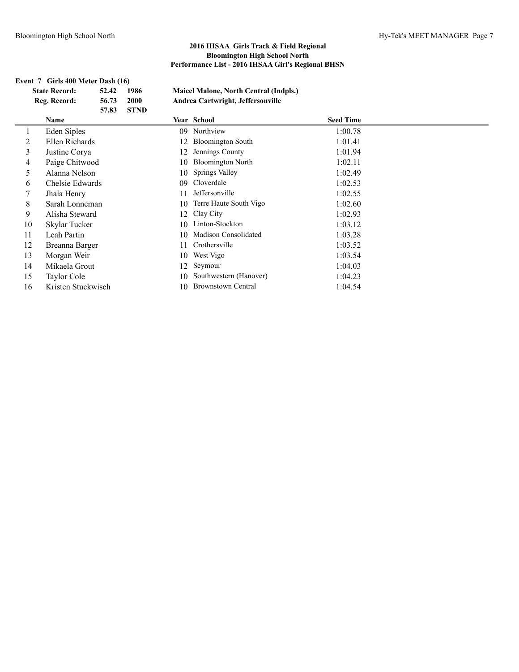|    | Event 7 Girls 400 Meter Dash (16) |       |             |     |                                        |                  |  |  |  |
|----|-----------------------------------|-------|-------------|-----|----------------------------------------|------------------|--|--|--|
|    | <b>State Record:</b>              | 52.42 | 1986        |     | Maicel Malone, North Central (Indpls.) |                  |  |  |  |
|    | Reg. Record:                      | 56.73 | <b>2000</b> |     | Andrea Cartwright, Jeffersonville      |                  |  |  |  |
|    |                                   | 57.83 | <b>STND</b> |     |                                        |                  |  |  |  |
|    | Name                              |       |             |     | Year School                            | <b>Seed Time</b> |  |  |  |
|    | Eden Siples                       |       |             | 09. | Northview                              | 1:00.78          |  |  |  |
| 2  | Ellen Richards                    |       |             |     | <b>Bloomington South</b>               | 1:01.41          |  |  |  |
| 3  | Justine Corya                     |       |             | 12  | Jennings County                        | 1:01.94          |  |  |  |
| 4  | Paige Chitwood                    |       |             | 10  | <b>Bloomington North</b>               | 1:02.11          |  |  |  |
| 5  | Alanna Nelson                     |       |             | 10  | <b>Springs Valley</b>                  | 1:02.49          |  |  |  |
| 6  | Chelsie Edwards                   |       |             | 09  | Cloverdale                             | 1:02.53          |  |  |  |
| 7  | Jhala Henry                       |       |             |     | Jeffersonville                         | 1:02.55          |  |  |  |
| 8  | Sarah Lonneman                    |       |             | 10  | Terre Haute South Vigo                 | 1:02.60          |  |  |  |
| 9  | Alisha Steward                    |       |             | 12  | Clay City                              | 1:02.93          |  |  |  |
| 10 | Skylar Tucker                     |       |             | 10  | Linton-Stockton                        | 1:03.12          |  |  |  |
| 11 | Leah Partin                       |       |             | 10  | Madison Consolidated                   | 1:03.28          |  |  |  |
| 12 | Breanna Barger                    |       |             |     | Crothersville                          | 1:03.52          |  |  |  |
| 13 | Morgan Weir                       |       |             | 10  | West Vigo                              | 1:03.54          |  |  |  |
| 14 | Mikaela Grout                     |       |             | 12  | Seymour                                | 1:04.03          |  |  |  |
| 15 | Taylor Cole                       |       |             | 10  | Southwestern (Hanover)                 | 1:04.23          |  |  |  |
| 16 | Kristen Stuckwisch                |       |             | 10  | <b>Brownstown Central</b>              | 1:04.54          |  |  |  |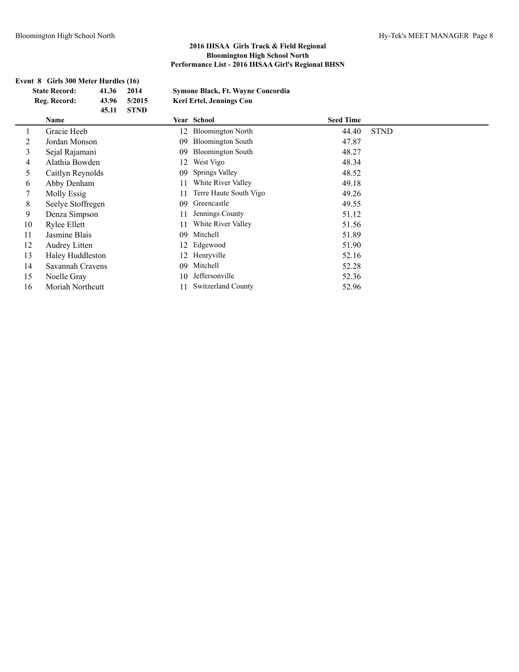|    | Event 8 Girls 300 Meter Hurdles (16) |       |             |    |                                   |                  |             |  |  |  |
|----|--------------------------------------|-------|-------------|----|-----------------------------------|------------------|-------------|--|--|--|
|    | <b>State Record:</b>                 | 41.36 | 2014        |    | Symone Black, Ft. Wayne Concordia |                  |             |  |  |  |
|    | Reg. Record:                         | 43.96 | 5/2015      |    | Keri Ertel, Jennings Cou          |                  |             |  |  |  |
|    |                                      | 45.11 | <b>STND</b> |    |                                   |                  |             |  |  |  |
|    | Name                                 |       |             |    | Year School                       | <b>Seed Time</b> |             |  |  |  |
|    | Gracie Heeb                          |       |             | 12 | <b>Bloomington North</b>          | 44.40            | <b>STND</b> |  |  |  |
| 2  | Jordan Monson                        |       |             | 09 | <b>Bloomington South</b>          | 47.87            |             |  |  |  |
| 3  | Sejal Rajamani                       |       |             | 09 | <b>Bloomington South</b>          | 48.27            |             |  |  |  |
| 4  | Alathia Bowden                       |       |             | 12 | West Vigo                         | 48.34            |             |  |  |  |
| 5  | Caitlyn Reynolds                     |       |             | 09 | Springs Valley                    | 48.52            |             |  |  |  |
| 6  | Abby Denham                          |       |             | 11 | White River Valley                | 49.18            |             |  |  |  |
| 7  | Molly Essig                          |       |             | 11 | Terre Haute South Vigo            | 49.26            |             |  |  |  |
| 8  | Seelye Stoffregen                    |       |             | 09 | Greencastle                       | 49.55            |             |  |  |  |
| 9  | Denza Simpson                        |       |             | 11 | Jennings County                   | 51.12            |             |  |  |  |
| 10 | Rylee Ellett                         |       |             | 11 | White River Valley                | 51.56            |             |  |  |  |
| 11 | Jasmine Blais                        |       |             | 09 | Mitchell                          | 51.89            |             |  |  |  |
| 12 | Audrey Litten                        |       |             | 12 | Edgewood                          | 51.90            |             |  |  |  |
| 13 | Haley Huddleston                     |       |             | 12 | Henryville                        | 52.16            |             |  |  |  |
| 14 | Savannah Cravens                     |       |             | 09 | Mitchell                          | 52.28            |             |  |  |  |
| 15 | Noelle Gray                          |       |             | 10 | Jeffersonville                    | 52.36            |             |  |  |  |
| 16 | Moriah Northcutt                     |       |             | 11 | <b>Switzerland County</b>         | 52.96            |             |  |  |  |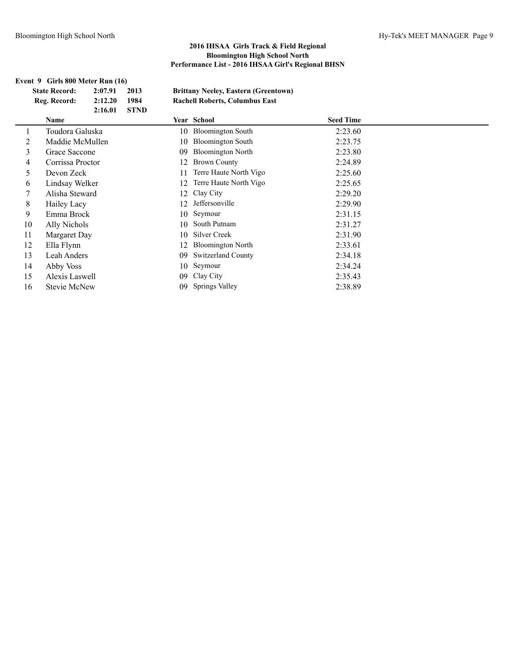|                                                                                        | Event 9 Girls 800 Meter Run (16) |         |             |    |                                       |                  |  |  |
|----------------------------------------------------------------------------------------|----------------------------------|---------|-------------|----|---------------------------------------|------------------|--|--|
| <b>State Record:</b><br>2:07.91<br>2013<br><b>Brittany Neeley, Eastern (Greentown)</b> |                                  |         |             |    |                                       |                  |  |  |
|                                                                                        | Reg. Record:                     | 2:12.20 | 1984        |    | <b>Rachell Roberts, Columbus East</b> |                  |  |  |
|                                                                                        |                                  | 2:16.01 | <b>STND</b> |    |                                       |                  |  |  |
|                                                                                        | Name                             |         |             |    | Year School                           | <b>Seed Time</b> |  |  |
|                                                                                        | Toudora Galuska                  |         |             | 10 | <b>Bloomington South</b>              | 2:23.60          |  |  |
| 2                                                                                      | Maddie McMullen                  |         |             | 10 | <b>Bloomington South</b>              | 2:23.75          |  |  |
| 3                                                                                      | Grace Saccone                    |         |             | 09 | <b>Bloomington North</b>              | 2:23.80          |  |  |
| 4                                                                                      | Corrissa Proctor                 |         |             |    | <b>Brown County</b>                   | 2:24.89          |  |  |
| 5                                                                                      | Devon Zeck                       |         |             | 11 | Terre Haute North Vigo                | 2:25.60          |  |  |
| 6                                                                                      | Lindsay Welker                   |         |             | 12 | Terre Haute North Vigo                | 2:25.65          |  |  |
| 7                                                                                      | Alisha Steward                   |         |             | 12 | Clay City                             | 2:29.20          |  |  |
| 8                                                                                      | Hailey Lacy                      |         |             | 12 | Jeffersonville                        | 2:29.90          |  |  |
| 9                                                                                      | Emma Brock                       |         |             | 10 | Seymour                               | 2:31.15          |  |  |
| 10                                                                                     | Ally Nichols                     |         |             | 10 | South Putnam                          | 2:31.27          |  |  |
| 11                                                                                     | Margaret Day                     |         |             | 10 | <b>Silver Creek</b>                   | 2:31.90          |  |  |
| 12                                                                                     | Ella Flynn                       |         |             |    | <b>Bloomington North</b>              | 2:33.61          |  |  |
| 13                                                                                     | Leah Anders                      |         |             | 09 | <b>Switzerland County</b>             | 2:34.18          |  |  |
| 14                                                                                     | Abby Voss                        |         |             | 10 | Seymour                               | 2:34.24          |  |  |
| 15                                                                                     | Alexis Laswell                   |         |             | 09 | Clay City                             | 2:35.43          |  |  |
| 16                                                                                     | <b>Stevie McNew</b>              |         |             | 09 | <b>Springs Valley</b>                 | 2:38.89          |  |  |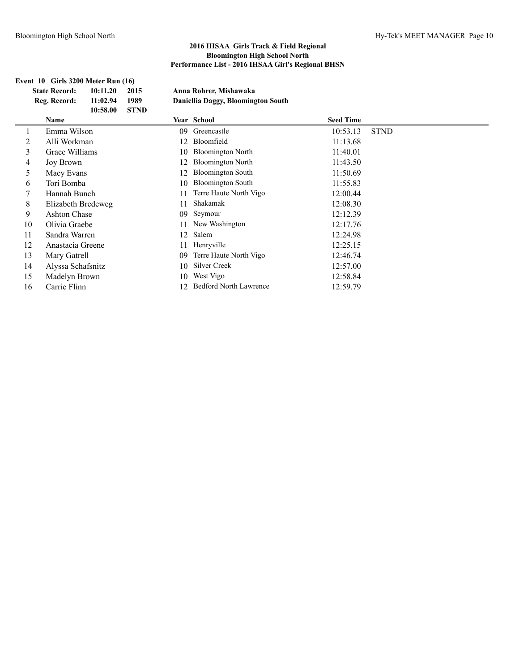|    | Event 10 Girls 3200 Meter Run (16)   |                      |              |     |                                                              |                  |             |
|----|--------------------------------------|----------------------|--------------|-----|--------------------------------------------------------------|------------------|-------------|
|    | <b>State Record:</b><br>Reg. Record: | 10:11.20<br>11:02.94 | 2015<br>1989 |     | Anna Rohrer, Mishawaka<br>Daniellia Daggy, Bloomington South |                  |             |
|    |                                      | 10:58.00             | <b>STND</b>  |     |                                                              |                  |             |
|    | Name                                 |                      |              |     | Year School                                                  | <b>Seed Time</b> |             |
|    | Emma Wilson                          |                      |              | 09. | Greencastle                                                  | 10:53.13         | <b>STND</b> |
| 2  | Alli Workman                         |                      |              | 12  | Bloomfield                                                   | 11:13.68         |             |
| 3  | Grace Williams                       |                      |              | 10  | <b>Bloomington North</b>                                     | 11:40.01         |             |
| 4  | Joy Brown                            |                      |              | 12  | <b>Bloomington North</b>                                     | 11:43.50         |             |
| 5  | Macy Evans                           |                      |              | 12  | <b>Bloomington South</b>                                     | 11:50.69         |             |
| 6  | Tori Bomba                           |                      |              | 10  | <b>Bloomington South</b>                                     | 11:55.83         |             |
| 7  | Hannah Bunch                         |                      |              | 11  | Terre Haute North Vigo                                       | 12:00.44         |             |
| 8  | Elizabeth Bredeweg                   |                      |              | 11  | Shakamak                                                     | 12:08.30         |             |
| 9  | <b>Ashton Chase</b>                  |                      |              | 09  | Seymour                                                      | 12:12.39         |             |
| 10 | Olivia Graebe                        |                      |              | 11  | New Washington                                               | 12:17.76         |             |
| 11 | Sandra Warren                        |                      |              | 12  | Salem                                                        | 12:24.98         |             |
| 12 | Anastacia Greene                     |                      |              | 11  | Henryville                                                   | 12:25.15         |             |
| 13 | Mary Gatrell                         |                      |              | 09  | Terre Haute North Vigo                                       | 12:46.74         |             |
| 14 | Alyssa Schafsnitz                    |                      |              | 10  | <b>Silver Creek</b>                                          | 12:57.00         |             |
| 15 | Madelyn Brown                        |                      |              | 10  | West Vigo                                                    | 12:58.84         |             |
| 16 | Carrie Flinn                         |                      |              | 12  | <b>Bedford North Lawrence</b>                                | 12:59.79         |             |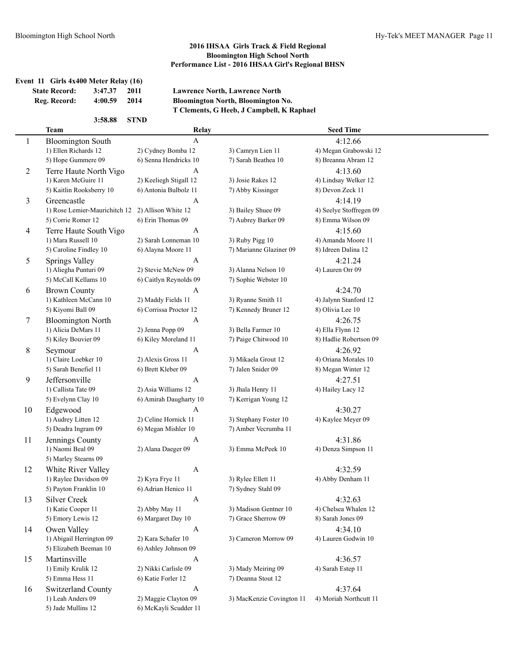|                | <b>State Record:</b><br>Reg. Record: | 3:47.37<br>4:00.59            | 2011<br>2014           | <b>Lawrence North, Lawrence North</b><br>Bloomington North, Bloomington No. |                         |  |
|----------------|--------------------------------------|-------------------------------|------------------------|-----------------------------------------------------------------------------|-------------------------|--|
|                |                                      |                               |                        | T Clements, G Heeb, J Campbell, K Raphael                                   |                         |  |
|                |                                      | 3:58.88                       | <b>STND</b>            |                                                                             |                         |  |
|                | <b>Team</b>                          |                               | Relay                  |                                                                             | <b>Seed Time</b>        |  |
| 1              | <b>Bloomington South</b>             |                               | $\mathbf{A}$           |                                                                             | 4:12.66                 |  |
|                | 1) Ellen Richards 12                 |                               | 2) Cydney Bomba 12     | 3) Camryn Lien 11                                                           | 4) Megan Grabowski 12   |  |
|                | 5) Hope Gummere 09                   |                               | 6) Senna Hendricks 10  | 7) Sarah Beathea 10                                                         | 8) Breanna Abram 12     |  |
| $\overline{2}$ |                                      | Terre Haute North Vigo        | A                      |                                                                             | 4:13.60                 |  |
|                | 1) Karen McGuire 11                  |                               | 2) Keeliegh Stigall 12 | 3) Josie Rakes 12                                                           | 4) Lindsay Welker 12    |  |
|                | 5) Kaitlin Rooksberry 10             |                               | 6) Antonia Bulbolz 11  | 7) Abby Kissinger                                                           | 8) Devon Zeck 11        |  |
| 3              | Greencastle                          |                               | A                      |                                                                             | 4:14.19                 |  |
|                |                                      | 1) Rose Lemier-Maurichitch 12 | 2) Allison White 12    | 3) Bailey Shuee 09                                                          | 4) Seelye Stoffregen 09 |  |
|                | 5) Corrie Romer 12                   |                               | 6) Erin Thomas 09      | 7) Aubrey Barker 09                                                         | 8) Emma Wilson 09       |  |
| 4              |                                      | Terre Haute South Vigo        | A                      |                                                                             | 4:15.60                 |  |
|                | 1) Mara Russell 10                   |                               | 2) Sarah Lonneman 10   | 3) Ruby Pigg 10                                                             | 4) Amanda Moore 11      |  |
|                | 5) Caroline Findley 10               |                               | 6) Alayna Moore 11     | 7) Marianne Glaziner 09                                                     | 8) Idreen Dalina 12     |  |
| 5              | <b>Springs Valley</b>                |                               | A                      |                                                                             | 4:21.24                 |  |
|                | 1) Aliegha Punturi 09                |                               | 2) Stevie McNew 09     | 3) Alanna Nelson 10                                                         | 4) Lauren Orr 09        |  |
|                | 5) McCall Kellams 10                 |                               | 6) Caitlyn Reynolds 09 | 7) Sophie Webster 10                                                        |                         |  |
| 6              | <b>Brown County</b>                  |                               | A                      |                                                                             | 4:24.70                 |  |
|                | 1) Kathleen McCann 10                |                               | 2) Maddy Fields 11     | 3) Ryanne Smith 11                                                          | 4) Jalynn Stanford 12   |  |
|                | 5) Kiyomi Ball 09                    |                               | 6) Corrissa Proctor 12 | 7) Kennedy Bruner 12                                                        | 8) Olivia Lee 10        |  |
| 7              | <b>Bloomington North</b>             |                               | A                      |                                                                             | 4:26.75                 |  |
|                | 1) Alicia DeMars 11                  |                               | 2) Jenna Popp 09       | 3) Bella Farmer 10                                                          | 4) Ella Flynn 12        |  |
|                | 5) Kiley Bouvier 09                  |                               | 6) Kiley Moreland 11   | 7) Paige Chitwood 10                                                        | 8) Hadlie Robertson 09  |  |
| 8              | Seymour                              |                               | A                      |                                                                             | 4:26.92                 |  |
|                | 1) Claire Loebker 10                 |                               | 2) Alexis Gross 11     | 3) Mikaela Grout 12                                                         | 4) Oriana Morales 10    |  |
|                | 5) Sarah Benefiel 11                 |                               | 6) Brett Kleber 09     | 7) Jalen Snider 09                                                          | 8) Megan Winter 12      |  |
| 9              | Jeffersonville                       |                               | A                      |                                                                             | 4:27.51                 |  |
|                | 1) Callista Tate 09                  |                               | 2) Asia Williams 12    | 3) Jhala Henry 11                                                           | 4) Hailey Lacy 12       |  |
|                | 5) Evelynn Clay 10                   |                               | 6) Amirah Daugharty 10 | 7) Kerrigan Young 12                                                        |                         |  |
| 10             | Edgewood                             |                               | A                      |                                                                             | 4:30.27                 |  |
|                | 1) Audrey Litten 12                  |                               | 2) Celine Hornick 11   | 3) Stephany Foster 10                                                       | 4) Kaylee Meyer 09      |  |
|                | 5) Deadra Ingram 09                  |                               | 6) Megan Mishler 10    | 7) Amber Vecrumba 11                                                        |                         |  |
| 11             | Jennings County                      |                               | A                      |                                                                             | 4:31.86                 |  |
|                | 1) Naomi Beal 09                     |                               | 2) Alana Daeger 09     | 3) Emma McPeek 10                                                           | 4) Denza Simpson 11     |  |
|                | 5) Marley Stearns 09                 |                               |                        |                                                                             |                         |  |
| 12             | White River Valley                   |                               | A                      |                                                                             | 4:32.59                 |  |
|                | 1) Raylee Davidson 09                |                               | 2) Kyra Frye 11        | 3) Rylee Ellett 11                                                          | 4) Abby Denham 11       |  |
|                | 5) Payton Franklin 10                |                               | 6) Adrian Henico 11    | 7) Sydney Stahl 09                                                          |                         |  |
| 13             | <b>Silver Creek</b>                  |                               | $\mathbf{A}$           |                                                                             | 4:32.63                 |  |
|                | 1) Katie Cooper 11                   |                               | 2) Abby May 11         | 3) Madison Gentner 10                                                       | 4) Chelsea Whalen 12    |  |
|                | 5) Emory Lewis 12                    |                               | 6) Margaret Day 10     | 7) Grace Sherrow 09                                                         | 8) Sarah Jones 09       |  |
| 14             | Owen Valley                          |                               | A                      |                                                                             | 4:34.10                 |  |
|                | 1) Abigail Herrington 09             |                               | 2) Kara Schafer 10     | 3) Cameron Morrow 09                                                        | 4) Lauren Godwin 10     |  |
|                | 5) Elizabeth Beeman 10               |                               | 6) Ashley Johnson 09   |                                                                             |                         |  |
| 15             | Martinsville                         |                               | $\mathbf{A}$           |                                                                             | 4:36.57                 |  |
|                | 1) Emily Krulik 12                   |                               | 2) Nikki Carlisle 09   | 3) Mady Meiring 09<br>4) Sarah Estep 11                                     |                         |  |
|                | 5) Emma Hess 11                      |                               | 6) Katie Forler 12     | 7) Deanna Stout 12                                                          |                         |  |
| 16             | Switzerland County                   |                               | A                      |                                                                             | 4:37.64                 |  |
|                | 1) Leah Anders 09                    |                               | 2) Maggie Clayton 09   | 3) MacKenzie Covington 11                                                   | 4) Moriah Northcutt 11  |  |
|                | 5) Jade Mullins 12                   |                               | 6) McKayli Scudder 11  |                                                                             |                         |  |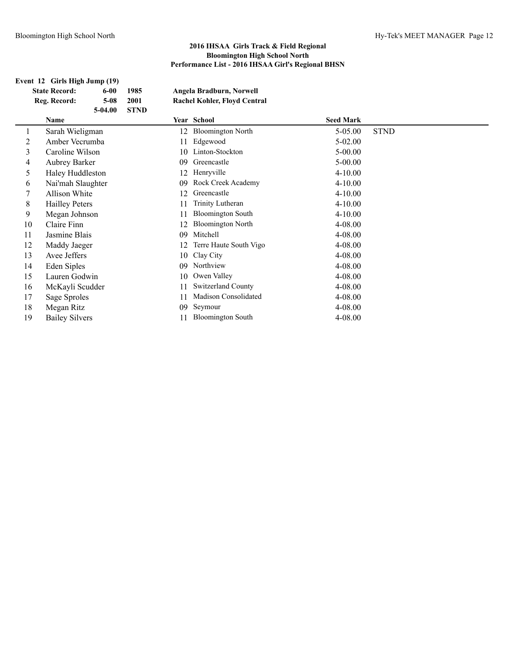# **Event 12 Girls High Jump (19)**

|                      | ent 12 - Giris migh Jump (19) |           |             |    |                              |                  |             |  |  |  |
|----------------------|-------------------------------|-----------|-------------|----|------------------------------|------------------|-------------|--|--|--|
| <b>State Record:</b> |                               | $6-00$    | 1985        |    | Angela Bradburn, Norwell     |                  |             |  |  |  |
|                      | Reg. Record:                  | $5 - 08$  | 2001        |    | Rachel Kohler, Floyd Central |                  |             |  |  |  |
|                      |                               | $5-04.00$ | <b>STND</b> |    |                              |                  |             |  |  |  |
|                      | <b>Name</b>                   |           |             |    | Year School                  | <b>Seed Mark</b> |             |  |  |  |
| 1                    | Sarah Wieligman               |           |             | 12 | <b>Bloomington North</b>     | 5-05.00          | <b>STND</b> |  |  |  |
| $\overline{2}$       | Amber Vecrumba                |           |             | 11 | Edgewood                     | $5-02.00$        |             |  |  |  |
| 3                    | Caroline Wilson               |           |             | 10 | Linton-Stockton              | $5 - 00.00$      |             |  |  |  |
| $\overline{4}$       | <b>Aubrey Barker</b>          |           |             | 09 | Greencastle                  | $5 - 00.00$      |             |  |  |  |
| 5                    | Haley Huddleston              |           |             | 12 | Henryville                   | $4 - 10.00$      |             |  |  |  |
| 6                    | Nai'mah Slaughter             |           |             | 09 | Rock Creek Academy           | $4 - 10.00$      |             |  |  |  |
| 7                    | <b>Allison White</b>          |           |             | 12 | Greencastle                  | $4 - 10.00$      |             |  |  |  |
| 8                    | <b>Hailley Peters</b>         |           |             | 11 | Trinity Lutheran             | $4 - 10.00$      |             |  |  |  |
| 9                    | Megan Johnson                 |           |             | 11 | <b>Bloomington South</b>     | $4 - 10.00$      |             |  |  |  |
| 10                   | Claire Finn                   |           |             | 12 | <b>Bloomington North</b>     | 4-08.00          |             |  |  |  |
| 11                   | Jasmine Blais                 |           |             | 09 | Mitchell                     | 4-08.00          |             |  |  |  |
| 12                   | Maddy Jaeger                  |           |             | 12 | Terre Haute South Vigo       | 4-08.00          |             |  |  |  |
| 13                   | Avee Jeffers                  |           |             | 10 | Clay City                    | 4-08.00          |             |  |  |  |
| 14                   | Eden Siples                   |           |             | 09 | Northview                    | 4-08.00          |             |  |  |  |
| 15                   | Lauren Godwin                 |           |             | 10 | Owen Valley                  | 4-08.00          |             |  |  |  |
| 16                   | McKayli Scudder               |           |             | 11 | <b>Switzerland County</b>    | 4-08.00          |             |  |  |  |
| 17                   | Sage Sproles                  |           |             | 11 | Madison Consolidated         | 4-08.00          |             |  |  |  |
| 18                   | Megan Ritz                    |           |             | 09 | Seymour                      | 4-08.00          |             |  |  |  |

19 Bailey Silvers 11 Bloomington South 4-08.00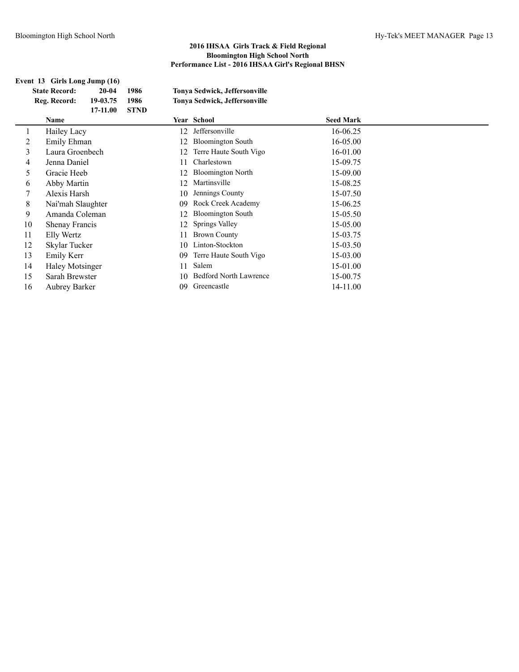|    | Event 13 Girls Long Jump (16)<br><b>State Record:</b><br>Reg. Record: | $20 - 04$<br>19-03.75<br>17-11.00 | 1986<br>1986<br><b>STND</b> |    | Tonya Sedwick, Jeffersonville<br>Tonya Sedwick, Jeffersonville |                  |  |
|----|-----------------------------------------------------------------------|-----------------------------------|-----------------------------|----|----------------------------------------------------------------|------------------|--|
|    | Name                                                                  |                                   |                             |    | Year School                                                    | <b>Seed Mark</b> |  |
|    | Hailey Lacy                                                           |                                   |                             | 12 | Jeffersonville                                                 | 16-06.25         |  |
| 2  | Emily Ehman                                                           |                                   |                             | 12 | <b>Bloomington South</b>                                       | 16-05.00         |  |
| 3  | Laura Groenbech                                                       |                                   |                             | 12 | Terre Haute South Vigo                                         | 16-01.00         |  |
| 4  | Jenna Daniel                                                          |                                   |                             | 11 | Charlestown                                                    | 15-09.75         |  |
| 5  | Gracie Heeb                                                           |                                   |                             | 12 | <b>Bloomington North</b>                                       | 15-09.00         |  |
| 6  | Abby Martin                                                           |                                   |                             | 12 | Martinsville                                                   | 15-08.25         |  |
| 7  | Alexis Harsh                                                          |                                   |                             | 10 | Jennings County                                                | 15-07.50         |  |
| 8  | Nai'mah Slaughter                                                     |                                   |                             | 09 | Rock Creek Academy                                             | 15-06.25         |  |
| 9  | Amanda Coleman                                                        |                                   |                             | 12 | <b>Bloomington South</b>                                       | 15-05.50         |  |
| 10 | Shenay Francis                                                        |                                   |                             | 12 | Springs Valley                                                 | 15-05.00         |  |
| 11 | Elly Wertz                                                            |                                   |                             | 11 | <b>Brown County</b>                                            | 15-03.75         |  |
| 12 | Skylar Tucker                                                         |                                   |                             | 10 | Linton-Stockton                                                | 15-03.50         |  |
| 13 | Emily Kerr                                                            |                                   |                             | 09 | Terre Haute South Vigo                                         | 15-03.00         |  |
| 14 | <b>Haley Motsinger</b>                                                |                                   |                             | 11 | Salem                                                          | 15-01.00         |  |
| 15 | Sarah Brewster                                                        |                                   |                             | 10 | <b>Bedford North Lawrence</b>                                  | 15-00.75         |  |
| 16 | <b>Aubrey Barker</b>                                                  |                                   |                             | 09 | Greencastle                                                    | 14-11.00         |  |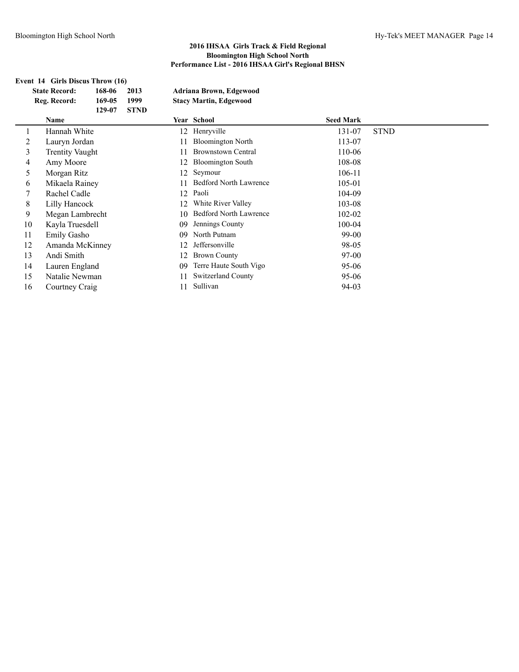| Event 14 Girls Discus Throw (16) |                        |                |             |                        |                               |                  |             |  |  |  |
|----------------------------------|------------------------|----------------|-------------|------------------------|-------------------------------|------------------|-------------|--|--|--|
|                                  | <b>State Record:</b>   | 168-06         | 2013        |                        | Adriana Brown, Edgewood       |                  |             |  |  |  |
|                                  | Reg. Record:           | 169-05         | 1999        |                        | <b>Stacy Martin, Edgewood</b> |                  |             |  |  |  |
|                                  |                        | 129-07         | <b>STND</b> |                        |                               |                  |             |  |  |  |
|                                  | Name                   |                |             |                        | Year School                   | <b>Seed Mark</b> |             |  |  |  |
|                                  | Hannah White           |                |             | 12                     | Henryville                    | 131-07           | <b>STND</b> |  |  |  |
| 2                                | Lauryn Jordan          |                |             | 11                     | <b>Bloomington North</b>      | 113-07           |             |  |  |  |
| 3                                | <b>Trentity Vaught</b> |                |             | 11                     | <b>Brownstown Central</b>     | 110-06           |             |  |  |  |
| 4                                | Amy Moore              |                |             | 12                     | <b>Bloomington South</b>      | 108-08           |             |  |  |  |
| 5                                | Morgan Ritz            |                |             | 12                     | Seymour                       | 106-11           |             |  |  |  |
| 6                                |                        | Mikaela Rainey |             | 11                     | <b>Bedford North Lawrence</b> | 105-01           |             |  |  |  |
| 7                                |                        | Rachel Cadle   |             | 12                     | Paoli                         | 104-09           |             |  |  |  |
| 8                                | Lilly Hancock          |                |             | 12                     | White River Valley            | 103-08           |             |  |  |  |
| 9                                | Megan Lambrecht        |                |             | 10                     | <b>Bedford North Lawrence</b> | 102-02           |             |  |  |  |
| 10                               | Kayla Truesdell        |                |             | 09                     | Jennings County               | 100-04           |             |  |  |  |
| 11                               | <b>Emily Gasho</b>     |                |             | 09                     | North Putnam                  | $99-00$          |             |  |  |  |
| 12                               | Amanda McKinney        |                |             | 12                     | Jeffersonville                | 98-05            |             |  |  |  |
| 13                               | Andi Smith             |                | 12          | <b>Brown County</b>    | 97-00                         |                  |             |  |  |  |
| 14                               | Lauren England         |                | 09          | Terre Haute South Vigo | $95 - 06$                     |                  |             |  |  |  |
| 15                               | Natalie Newman         |                |             | 11                     | <b>Switzerland County</b>     | 95-06            |             |  |  |  |
| 16                               | Courtney Craig         |                |             | 11                     | Sullivan                      | 94-03            |             |  |  |  |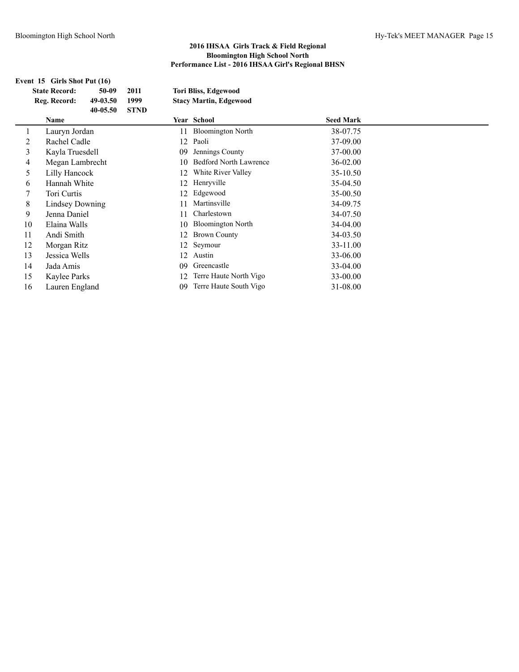| Event 15 Girls Shot Put (16) |          |                                                                                                                                                                                                                                                        |    |                          |                                                                             |  |  |  |
|------------------------------|----------|--------------------------------------------------------------------------------------------------------------------------------------------------------------------------------------------------------------------------------------------------------|----|--------------------------|-----------------------------------------------------------------------------|--|--|--|
| <b>State Record:</b>         | 50-09    | 2011                                                                                                                                                                                                                                                   |    |                          |                                                                             |  |  |  |
| Reg. Record:                 | 49-03.50 | 1999                                                                                                                                                                                                                                                   |    |                          |                                                                             |  |  |  |
|                              | 40-05.50 | <b>STND</b>                                                                                                                                                                                                                                            |    |                          |                                                                             |  |  |  |
| Name                         |          |                                                                                                                                                                                                                                                        |    |                          | <b>Seed Mark</b>                                                            |  |  |  |
|                              |          |                                                                                                                                                                                                                                                        | 11 | <b>Bloomington North</b> | 38-07.75                                                                    |  |  |  |
|                              |          |                                                                                                                                                                                                                                                        | 12 | Paoli                    | 37-09.00                                                                    |  |  |  |
|                              |          |                                                                                                                                                                                                                                                        | 09 | Jennings County          | 37-00.00                                                                    |  |  |  |
|                              |          |                                                                                                                                                                                                                                                        | 10 | Bedford North Lawrence   | 36-02.00                                                                    |  |  |  |
|                              |          |                                                                                                                                                                                                                                                        | 12 | White River Valley       | 35-10.50                                                                    |  |  |  |
|                              |          |                                                                                                                                                                                                                                                        | 12 | Henryville               | 35-04.50                                                                    |  |  |  |
|                              |          |                                                                                                                                                                                                                                                        | 12 | Edgewood                 | 35-00.50                                                                    |  |  |  |
|                              |          |                                                                                                                                                                                                                                                        | 11 | Martinsville             | 34-09.75                                                                    |  |  |  |
|                              |          |                                                                                                                                                                                                                                                        | 11 | Charlestown              | 34-07.50                                                                    |  |  |  |
| 10                           |          |                                                                                                                                                                                                                                                        | 10 | <b>Bloomington North</b> | 34-04.00                                                                    |  |  |  |
| 11                           |          |                                                                                                                                                                                                                                                        | 12 | <b>Brown County</b>      | 34-03.50                                                                    |  |  |  |
| 12                           |          |                                                                                                                                                                                                                                                        | 12 | Seymour                  | 33-11.00                                                                    |  |  |  |
| 13                           |          |                                                                                                                                                                                                                                                        | 12 | Austin                   | 33-06.00                                                                    |  |  |  |
| Jada Amis<br>14              |          |                                                                                                                                                                                                                                                        | 09 | Greencastle              | 33-04.00                                                                    |  |  |  |
| 15                           |          |                                                                                                                                                                                                                                                        | 12 | Terre Haute North Vigo   | 33-00.00                                                                    |  |  |  |
| 16                           |          |                                                                                                                                                                                                                                                        | 09 | Terre Haute South Vigo   | 31-08.00                                                                    |  |  |  |
|                              |          | Lauryn Jordan<br>Rachel Cadle<br>Kayla Truesdell<br>Megan Lambrecht<br>Lilly Hancock<br>Hannah White<br>Tori Curtis<br>Lindsey Downing<br>Jenna Daniel<br>Elaina Walls<br>Andi Smith<br>Morgan Ritz<br>Jessica Wells<br>Kaylee Parks<br>Lauren England |    |                          | <b>Tori Bliss, Edgewood</b><br><b>Stacy Martin, Edgewood</b><br>Year School |  |  |  |